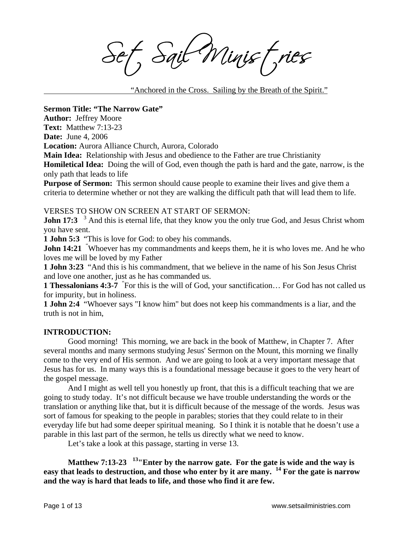Sait Minist, ries

"Anchored in the Cross. Sailing by the Breath of the Spirit."

**Sermon Title: "The Narrow Gate"** 

**Author:** Jeffrey Moore

**Text:** Matthew 7:13-23

**Date:** June 4, 2006

**Location:** Aurora Alliance Church, Aurora, Colorado

**Main Idea:** Relationship with Jesus and obedience to the Father are true Christianity

**Homiletical Idea:** Doing the will of God, even though the path is hard and the gate, narrow, is the only path that leads to life

**Purpose of Sermon:** This sermon should cause people to examine their lives and give them a criteria to determine whether or not they are walking the difficult path that will lead them to life.

# VERSES TO SHOW ON SCREEN AT START OF SERMON:

**John 17:3** <sup>3</sup> And this is eternal life, that they know you the only true God, and Jesus Christ whom you have sent.

**1 John 5:3** "This is love for God: to obey his commands.

**John 14:21** "Whoever has my commandments and keeps them, he it is who loves me. And he who loves me will be loved by my Father

**1 John 3:23** "And this is his commandment, that we believe in the name of his Son Jesus Christ and love one another, just as he has commanded us.

**1 Thessalonians 4:3-7** " For this is the will of God, your sanctification… For God has not called us for impurity, but in holiness.

**1 John 2:4** "Whoever says "I know him" but does not keep his commandments is a liar, and the truth is not in him,

# **INTRODUCTION:**

Good morning! This morning, we are back in the book of Matthew, in Chapter 7. After several months and many sermons studying Jesus' Sermon on the Mount, this morning we finally come to the very end of His sermon. And we are going to look at a very important message that Jesus has for us. In many ways this is a foundational message because it goes to the very heart of the gospel message.

And I might as well tell you honestly up front, that this is a difficult teaching that we are going to study today. It's not difficult because we have trouble understanding the words or the translation or anything like that, but it is difficult because of the message of the words. Jesus was sort of famous for speaking to the people in parables; stories that they could relate to in their everyday life but had some deeper spiritual meaning. So I think it is notable that he doesn't use a parable in this last part of the sermon, he tells us directly what we need to know.

Let's take a look at this passage, starting in verse 13.

**Matthew 7:13-23 13"Enter by the narrow gate. For the gate is wide and the way is easy that leads to destruction, and those who enter by it are many. 14 For the gate is narrow and the way is hard that leads to life, and those who find it are few.**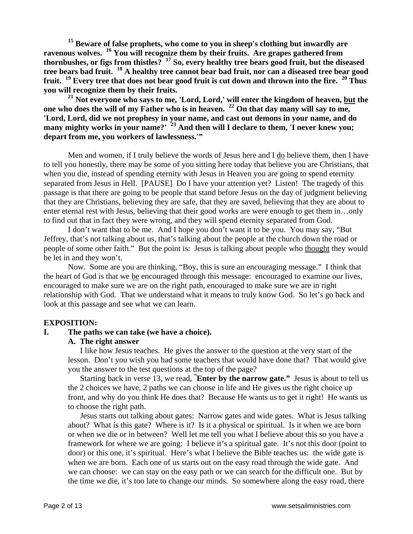**15 Beware of false prophets, who come to you in sheep's clothing but inwardly are ravenous wolves. 16 You will recognize them by their fruits. Are grapes gathered from thornbushes, or figs from thistles? 17 So, every healthy tree bears good fruit, but the diseased tree bears bad fruit. 18 A healthy tree cannot bear bad fruit, nor can a diseased tree bear good fruit. 19 Every tree that does not bear good fruit is cut down and thrown into the fire. 20 Thus you will recognize them by their fruits.** 

<sup>21</sup> Not everyone who says to me, 'Lord, Lord,' will enter the kingdom of heaven, but the **one who does the will of my Father who is in heaven. 22 On that day many will say to me, 'Lord, Lord, did we not prophesy in your name, and cast out demons in your name, and do many mighty works in your name?' 23 And then will I declare to them, 'I never knew you; depart from me, you workers of lawlessness.'"** 

Men and women, if I truly believe the words of Jesus here and I do believe them, then I have to tell you honestly, there may be some of you sitting here today that believe you are Christians, that when you die, instead of spending eternity with Jesus in Heaven you are going to spend eternity separated from Jesus in Hell. [PAUSE] Do I have your attention yet? Listen! The tragedy of this passage is that there are going to be people that stand before Jesus on the day of judgment believing that they are Christians, believing they are safe, that they are saved, believing that they are about to enter eternal rest with Jesus, believing that their good works are were enough to get them in…only to find out that in fact they were wrong, and they will spend eternity separated from God.

I don't want that to be me. And I hope you don't want it to be you. You may say, "But Jeffrey, that's not talking about us, that's talking about the people at the church down the road or people of some other faith." But the point is: Jesus is talking about people who thought they would be let in and they won't.

 Now. Some are you are thinking, "Boy, this is sure an encouraging message." I think that the heart of God is that we be encouraged through this message: encouraged to examine our lives, encouraged to make sure we are on the right path, encouraged to make sure we are in right relationship with God. That we understand what it means to truly know God. So let's go back and look at this passage and see what we can learn.

# **EXPOSITION:**

### **I. The paths we can take (we have a choice).**

### **A. The right answer**

I like how Jesus teaches. He gives the answer to the question at the very start of the lesson. Don't you wish you had some teachers that would have done that? That would give you the answer to the test questions at the top of the page?

Starting back in verse 13, we read, **" Enter by the narrow gate."** Jesus is about to tell us the 2 choices we have, 2 paths we can choose in life and He gives us the right choice up front, and why do you think He does that? Because He wants us to get it right! He wants us to choose the right path.

Jesus starts out talking about gates: Narrow gates and wide gates. What is Jesus talking about? What is this gate? Where is it? Is it a physical or spiritual. Is it when we are born or when we die or in between? Well let me tell you what I believe about this so you have a framework for where we are going: I believe it's a spiritual gate. It's not this door (point to door) or this one, it's spiritual. Here's what I believe the Bible teaches us: the wide gate is when we are born. Each one of us starts out on the easy road through the wide gate. And we can choose: we can stay on the easy path or we can search for the difficult one. But by the time we die, it's too late to change our minds. So somewhere along the easy road, there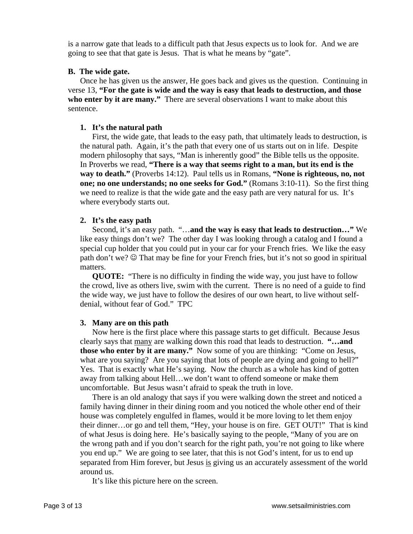is a narrow gate that leads to a difficult path that Jesus expects us to look for. And we are going to see that that gate is Jesus. That is what he means by "gate".

## **B. The wide gate.**

Once he has given us the answer, He goes back and gives us the question. Continuing in verse 13, **"For the gate is wide and the way is easy that leads to destruction, and those who enter by it are many."** There are several observations I want to make about this sentence.

## **1. It's the natural path**

First, the wide gate, that leads to the easy path, that ultimately leads to destruction, is the natural path. Again, it's the path that every one of us starts out on in life. Despite modern philosophy that says, "Man is inherently good" the Bible tells us the opposite. In Proverbs we read, **"There is a way that seems right to a man, but its end is the way to death."** (Proverbs 14:12). Paul tells us in Romans, **"None is righteous, no, not one; no one understands; no one seeks for God."** (Romans 3:10-11). So the first thing we need to realize is that the wide gate and the easy path are very natural for us. It's where everybody starts out.

## **2. It's the easy path**

Second, it's an easy path. "…**and the way is easy that leads to destruction…"** We like easy things don't we? The other day I was looking through a catalog and I found a special cup holder that you could put in your car for your French fries. We like the easy path don't we? ☺ That may be fine for your French fries, but it's not so good in spiritual matters.

**QUOTE:** "There is no difficulty in finding the wide way, you just have to follow the crowd, live as others live, swim with the current. There is no need of a guide to find the wide way, we just have to follow the desires of our own heart, to live without selfdenial, without fear of God." TPC

# **3. Many are on this path**

Now here is the first place where this passage starts to get difficult. Because Jesus clearly says that many are walking down this road that leads to destruction. **"…and those who enter by it are many."** Now some of you are thinking: "Come on Jesus, what are you saying? Are you saying that lots of people are dying and going to hell?" Yes. That is exactly what He's saying. Now the church as a whole has kind of gotten away from talking about Hell…we don't want to offend someone or make them uncomfortable. But Jesus wasn't afraid to speak the truth in love.

There is an old analogy that says if you were walking down the street and noticed a family having dinner in their dining room and you noticed the whole other end of their house was completely engulfed in flames, would it be more loving to let them enjoy their dinner…or go and tell them, "Hey, your house is on fire. GET OUT!" That is kind of what Jesus is doing here. He's basically saying to the people, "Many of you are on the wrong path and if you don't search for the right path, you're not going to like where you end up." We are going to see later, that this is not God's intent, for us to end up separated from Him forever, but Jesus is giving us an accurately assessment of the world around us.

It's like this picture here on the screen.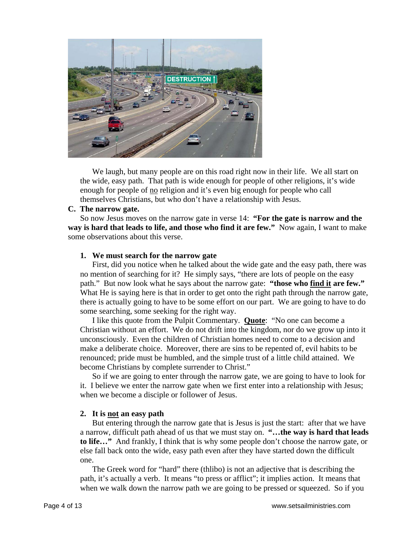

We laugh, but many people are on this road right now in their life. We all start on the wide, easy path. That path is wide enough for people of other religions, it's wide enough for people of no religion and it's even big enough for people who call themselves Christians, but who don't have a relationship with Jesus.

## **C. The narrow gate.**

So now Jesus moves on the narrow gate in verse 14: **"For the gate is narrow and the way is hard that leads to life, and those who find it are few."** Now again, I want to make some observations about this verse.

### **1. We must search for the narrow gate**

First, did you notice when he talked about the wide gate and the easy path, there was no mention of searching for it? He simply says, "there are lots of people on the easy path." But now look what he says about the narrow gate: **"those who find it are few."**  What He is saying here is that in order to get onto the right path through the narrow gate, there is actually going to have to be some effort on our part. We are going to have to do some searching, some seeking for the right way.

I like this quote from the Pulpit Commentary. **Quote**: "No one can become a Christian without an effort. We do not drift into the kingdom, nor do we grow up into it unconsciously. Even the children of Christian homes need to come to a decision and make a deliberate choice. Moreover, there are sins to be repented of, evil habits to be renounced; pride must be humbled, and the simple trust of a little child attained. We become Christians by complete surrender to Christ."

So if we are going to enter through the narrow gate, we are going to have to look for it. I believe we enter the narrow gate when we first enter into a relationship with Jesus; when we become a disciple or follower of Jesus.

# **2. It is not an easy path**

But entering through the narrow gate that is Jesus is just the start: after that we have a narrow, difficult path ahead of us that we must stay on. **"…the way is hard that leads to life…"** And frankly, I think that is why some people don't choose the narrow gate, or else fall back onto the wide, easy path even after they have started down the difficult one.

The Greek word for "hard" there (thlibo) is not an adjective that is describing the path, it's actually a verb. It means "to press or afflict"; it implies action. It means that when we walk down the narrow path we are going to be pressed or squeezed. So if you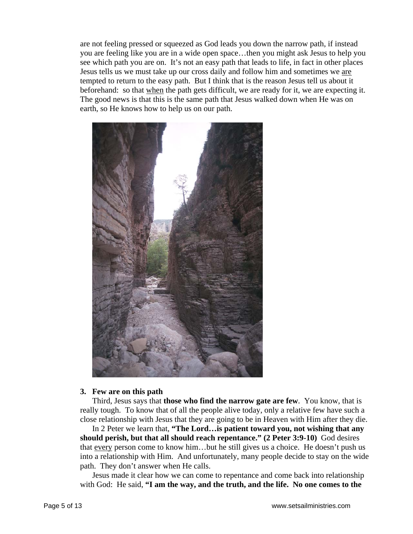are not feeling pressed or squeezed as God leads you down the narrow path, if instead you are feeling like you are in a wide open space…then you might ask Jesus to help you see which path you are on. It's not an easy path that leads to life, in fact in other places Jesus tells us we must take up our cross daily and follow him and sometimes we are tempted to return to the easy path. But I think that is the reason Jesus tell us about it beforehand: so that when the path gets difficult, we are ready for it, we are expecting it. The good news is that this is the same path that Jesus walked down when He was on earth, so He knows how to help us on our path.



### **3. Few are on this path**

Third, Jesus says that **those who find the narrow gate are few**. You know, that is really tough. To know that of all the people alive today, only a relative few have such a close relationship with Jesus that they are going to be in Heaven with Him after they die.

In 2 Peter we learn that, **"The Lord…is patient toward you, not wishing that any should perish, but that all should reach repentance." (2 Peter 3:9-10)** God desires that every person come to know him…but he still gives us a choice. He doesn't push us into a relationship with Him. And unfortunately, many people decide to stay on the wide path. They don't answer when He calls.

Jesus made it clear how we can come to repentance and come back into relationship with God: He said, **"I am the way, and the truth, and the life. No one comes to the**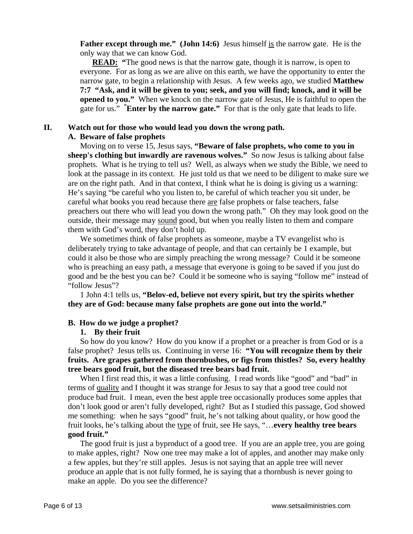**Father except through me."** (John 14:6) Jesus himself is the narrow gate. He is the only way that we can know God.

**READ:** "The good news is that the narrow gate, though it is narrow, is open to everyone. For as long as we are alive on this earth, we have the opportunity to enter the narrow gate, to begin a relationship with Jesus. A few weeks ago, we studied **Matthew 7:7 "Ask, and it will be given to you; seek, and you will find; knock, and it will be opened to you."** When we knock on the narrow gate of Jesus, He is faithful to open the gate for us." **" Enter by the narrow gate."** For that is the only gate that leads to life.

# **II. Watch out for those who would lead you down the wrong path.**

## **A. Beware of false prophets**

Moving on to verse 15, Jesus says, **"Beware of false prophets, who come to you in sheep's clothing but inwardly are ravenous wolves."** So now Jesus is talking about false prophets. What is he trying to tell us? Well, as always when we study the Bible, we need to look at the passage in its context. He just told us that we need to be diligent to make sure we are on the right path. And in that context, I think what he is doing is giving us a warning: He's saying "be careful who you listen to, be careful of which teacher you sit under, be careful what books you read because there are false prophets or false teachers, false preachers out there who will lead you down the wrong path." Oh they may look good on the outside, their message may sound good, but when you really listen to them and compare them with God's word, they don't hold up.

We sometimes think of false prophets as someone, maybe a TV evangelist who is deliberately trying to take advantage of people, and that can certainly be 1 example, but could it also be those who are simply preaching the wrong message? Could it be someone who is preaching an easy path, a message that everyone is going to be saved if you just do good and be the best you can be? Could it be someone who is saying "follow me" instead of "follow Jesus"?

1 John 4:1 tells us, **"Belov-ed, believe not every spirit, but try the spirits whether they are of God: because many false prophets are gone out into the world."** 

## **B. How do we judge a prophet?**

## **1. By their fruit**

So how do you know? How do you know if a prophet or a preacher is from God or is a false prophet? Jesus tells us. Continuing in verse 16: **"You will recognize them by their fruits. Are grapes gathered from thornbushes, or figs from thistles? So, every healthy tree bears good fruit, but the diseased tree bears bad fruit.** 

When I first read this, it was a little confusing. I read words like "good" and "bad" in terms of quality and I thought it was strange for Jesus to say that a good tree could not produce bad fruit. I mean, even the best apple tree occasionally produces some apples that don't look good or aren't fully developed, right? But as I studied this passage, God showed me something: when he says "good" fruit, he's not talking about quality, or how good the fruit looks, he's talking about the type of fruit, see He says, "…**every healthy tree bears good fruit."** 

The good fruit is just a byproduct of a good tree. If you are an apple tree, you are going to make apples, right? Now one tree may make a lot of apples, and another may make only a few apples, but they're still apples. Jesus is not saying that an apple tree will never produce an apple that is not fully formed, he is saying that a thornbush is never going to make an apple. Do you see the difference?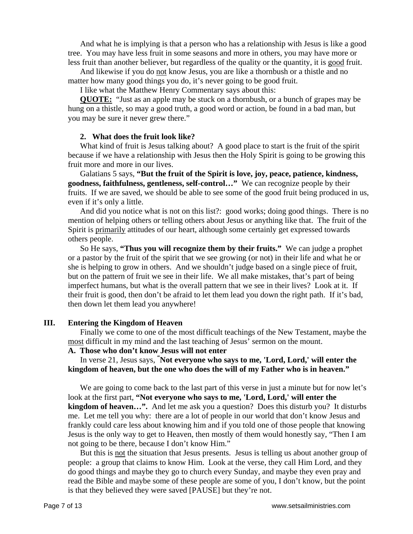And what he is implying is that a person who has a relationship with Jesus is like a good tree. You may have less fruit in some seasons and more in others, you may have more or less fruit than another believer, but regardless of the quality or the quantity, it is good fruit.

And likewise if you do not know Jesus, you are like a thornbush or a thistle and no matter how many good things you do, it's never going to be good fruit.

I like what the Matthew Henry Commentary says about this:

**QUOTE:** "Just as an apple may be stuck on a thornbush, or a bunch of grapes may be hung on a thistle, so may a good truth, a good word or action, be found in a bad man, but you may be sure it never grew there."

### **2. What does the fruit look like?**

What kind of fruit is Jesus talking about? A good place to start is the fruit of the spirit because if we have a relationship with Jesus then the Holy Spirit is going to be growing this fruit more and more in our lives.

Galatians 5 says, **"But the fruit of the Spirit is love, joy, peace, patience, kindness, goodness, faithfulness, gentleness, self-control…"** We can recognize people by their fruits. If we are saved, we should be able to see some of the good fruit being produced in us, even if it's only a little.

And did you notice what is not on this list?: good works; doing good things. There is no mention of helping others or telling others about Jesus or anything like that. The fruit of the Spirit is primarily attitudes of our heart, although some certainly get expressed towards others people.

So He says, **"Thus you will recognize them by their fruits."** We can judge a prophet or a pastor by the fruit of the spirit that we see growing (or not) in their life and what he or she is helping to grow in others. And we shouldn't judge based on a single piece of fruit, but on the pattern of fruit we see in their life. We all make mistakes, that's part of being imperfect humans, but what is the overall pattern that we see in their lives? Look at it. If their fruit is good, then don't be afraid to let them lead you down the right path. If it's bad, then down let them lead you anywhere!

## **III. Entering the Kingdom of Heaven**

Finally we come to one of the most difficult teachings of the New Testament, maybe the most difficult in my mind and the last teaching of Jesus' sermon on the mount.

#### **A. Those who don't know Jesus will not enter**

In verse 21, Jesus says, **" Not everyone who says to me, 'Lord, Lord,' will enter the kingdom of heaven, but the one who does the will of my Father who is in heaven."**

We are going to come back to the last part of this verse in just a minute but for now let's look at the first part, **"Not everyone who says to me, 'Lord, Lord,' will enter the kingdom of heaven…".** And let me ask you a question? Does this disturb you? It disturbs me. Let me tell you why: there are a lot of people in our world that don't know Jesus and frankly could care less about knowing him and if you told one of those people that knowing Jesus is the only way to get to Heaven, then mostly of them would honestly say, "Then I am not going to be there, because I don't know Him."

But this is not the situation that Jesus presents. Jesus is telling us about another group of people: a group that claims to know Him. Look at the verse, they call Him Lord, and they do good things and maybe they go to church every Sunday, and maybe they even pray and read the Bible and maybe some of these people are some of you, I don't know, but the point is that they believed they were saved [PAUSE] but they're not.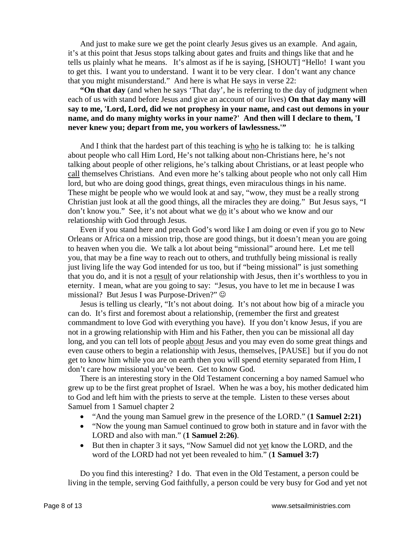And just to make sure we get the point clearly Jesus gives us an example. And again, it's at this point that Jesus stops talking about gates and fruits and things like that and he tells us plainly what he means. It's almost as if he is saying, [SHOUT] "Hello! I want you to get this. I want you to understand. I want it to be very clear. I don't want any chance that you might misunderstand." And here is what He says in verse 22:

**"On that day** (and when he says 'That day', he is referring to the day of judgment when each of us with stand before Jesus and give an account of our lives) **On that day many will say to me, 'Lord, Lord, did we not prophesy in your name, and cast out demons in your name, and do many mighty works in your name?' And then will I declare to them, 'I never knew you; depart from me, you workers of lawlessness.'"**

And I think that the hardest part of this teaching is who he is talking to: he is talking about people who call Him Lord, He's not talking about non-Christians here, he's not talking about people of other religions, he's talking about Christians, or at least people who call themselves Christians. And even more he's talking about people who not only call Him lord, but who are doing good things, great things, even miraculous things in his name. These might be people who we would look at and say, "wow, they must be a really strong Christian just look at all the good things, all the miracles they are doing." But Jesus says, "I don't know you." See, it's not about what we do it's about who we know and our relationship with God through Jesus.

Even if you stand here and preach God's word like I am doing or even if you go to New Orleans or Africa on a mission trip, those are good things, but it doesn't mean you are going to heaven when you die. We talk a lot about being "missional" around here. Let me tell you, that may be a fine way to reach out to others, and truthfully being missional is really just living life the way God intended for us too, but if "being missional" is just something that you do, and it is not a result of your relationship with Jesus, then it's worthless to you in eternity. I mean, what are you going to say: "Jesus, you have to let me in because I was missional? But Jesus I was Purpose-Driven?"  $\odot$ 

Jesus is telling us clearly, "It's not about doing. It's not about how big of a miracle you can do. It's first and foremost about a relationship, (remember the first and greatest commandment to love God with everything you have). If you don't know Jesus, if you are not in a growing relationship with Him and his Father, then you can be missional all day long, and you can tell lots of people about Jesus and you may even do some great things and even cause others to begin a relationship with Jesus, themselves, [PAUSE] but if you do not get to know him while you are on earth then you will spend eternity separated from Him, I don't care how missional you've been. Get to know God.

There is an interesting story in the Old Testament concerning a boy named Samuel who grew up to be the first great prophet of Israel. When he was a boy, his mother dedicated him to God and left him with the priests to serve at the temple. Listen to these verses about Samuel from 1 Samuel chapter 2

- "And the young man Samuel grew in the presence of the LORD." (**1 Samuel 2:21)**
- "Now the young man Samuel continued to grow both in stature and in favor with the LORD and also with man." (**1 Samuel 2:26)**.
- But then in chapter 3 it says, "Now Samuel did not yet know the LORD, and the word of the LORD had not yet been revealed to him." (**1 Samuel 3:7)**

Do you find this interesting? I do. That even in the Old Testament, a person could be living in the temple, serving God faithfully, a person could be very busy for God and yet not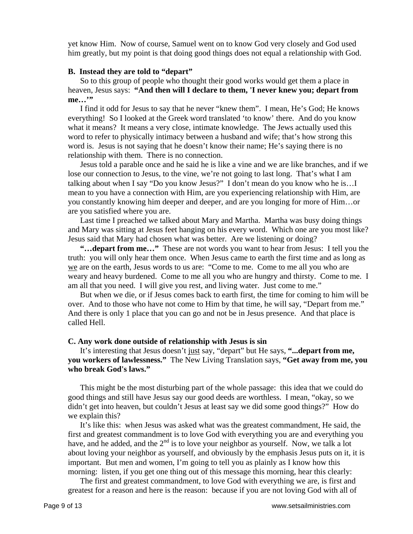yet know Him. Now of course, Samuel went on to know God very closely and God used him greatly, but my point is that doing good things does not equal a relationship with God.

#### **B. Instead they are told to "depart"**

So to this group of people who thought their good works would get them a place in heaven, Jesus says: **"And then will I declare to them, 'I never knew you; depart from me…'"**

I find it odd for Jesus to say that he never "knew them". I mean, He's God; He knows everything! So I looked at the Greek word translated 'to know' there. And do you know what it means? It means a very close, intimate knowledge. The Jews actually used this word to refer to physically intimacy between a husband and wife; that's how strong this word is. Jesus is not saying that he doesn't know their name; He's saying there is no relationship with them. There is no connection.

Jesus told a parable once and he said he is like a vine and we are like branches, and if we lose our connection to Jesus, to the vine, we're not going to last long. That's what I am talking about when I say "Do you know Jesus?" I don't mean do you know who he is…I mean to you have a connection with Him, are you experiencing relationship with Him, are you constantly knowing him deeper and deeper, and are you longing for more of Him…or are you satisfied where you are.

Last time I preached we talked about Mary and Martha. Martha was busy doing things and Mary was sitting at Jesus feet hanging on his every word. Which one are you most like? Jesus said that Mary had chosen what was better. Are we listening or doing?

**"…depart from me…"** These are not words you want to hear from Jesus: I tell you the truth: you will only hear them once. When Jesus came to earth the first time and as long as we are on the earth, Jesus words to us are: "Come to me. Come to me all you who are weary and heavy burdened. Come to me all you who are hungry and thirsty. Come to me. I am all that you need. I will give you rest, and living water. Just come to me."

But when we die, or if Jesus comes back to earth first, the time for coming to him will be over. And to those who have not come to Him by that time, he will say, "Depart from me." And there is only 1 place that you can go and not be in Jesus presence. And that place is called Hell.

#### **C. Any work done outside of relationship with Jesus is sin**

It's interesting that Jesus doesn't just say, "depart" but He says, **"...depart from me, you workers of lawlessness."** The New Living Translation says, **"Get away from me, you who break God's laws."**

This might be the most disturbing part of the whole passage: this idea that we could do good things and still have Jesus say our good deeds are worthless. I mean, "okay, so we didn't get into heaven, but couldn't Jesus at least say we did some good things?" How do we explain this?

It's like this: when Jesus was asked what was the greatest commandment, He said, the first and greatest commandment is to love God with everything you are and everything you have, and he added, and the  $2<sup>nd</sup>$  is to love your neighbor as yourself. Now, we talk a lot about loving your neighbor as yourself, and obviously by the emphasis Jesus puts on it, it is important. But men and women, I'm going to tell you as plainly as I know how this morning: listen, if you get one thing out of this message this morning, hear this clearly:

The first and greatest commandment, to love God with everything we are, is first and greatest for a reason and here is the reason: because if you are not loving God with all of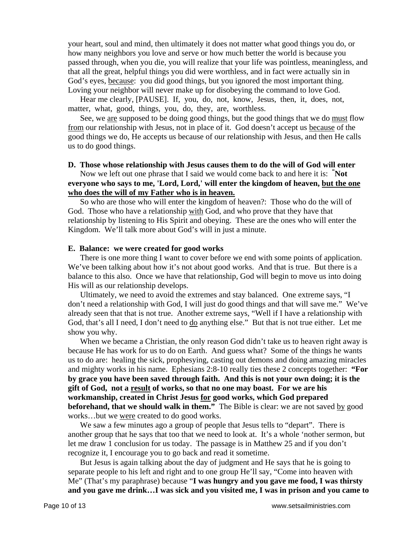your heart, soul and mind, then ultimately it does not matter what good things you do, or how many neighbors you love and serve or how much better the world is because you passed through, when you die, you will realize that your life was pointless, meaningless, and that all the great, helpful things you did were worthless, and in fact were actually sin in God's eyes, because: you did good things, but you ignored the most important thing. Loving your neighbor will never make up for disobeying the command to love God.

Hear me clearly, [PAUSE]. If, you, do, not, know, Jesus, then, it, does, not, matter, what, good, things, you, do, they, are, worthless.

See, we are supposed to be doing good things, but the good things that we do must flow from our relationship with Jesus, not in place of it. God doesn't accept us because of the good things we do, He accepts us because of our relationship with Jesus, and then He calls us to do good things.

### **D. Those whose relationship with Jesus causes them to do the will of God will enter**

Now we left out one phrase that I said we would come back to and here it is: **" Not everyone who says to me, 'Lord, Lord,' will enter the kingdom of heaven, but the one who does the will of my Father who is in heaven.** 

So who are those who will enter the kingdom of heaven?: Those who do the will of God. Those who have a relationship with God, and who prove that they have that relationship by listening to His Spirit and obeying. These are the ones who will enter the Kingdom. We'll talk more about God's will in just a minute.

### **E. Balance: we were created for good works**

There is one more thing I want to cover before we end with some points of application. We've been talking about how it's not about good works. And that is true. But there is a balance to this also. Once we have that relationship, God will begin to move us into doing His will as our relationship develops.

Ultimately, we need to avoid the extremes and stay balanced. One extreme says, "I don't need a relationship with God, I will just do good things and that will save me." We've already seen that that is not true. Another extreme says, "Well if I have a relationship with God, that's all I need, I don't need to do anything else." But that is not true either. Let me show you why.

When we became a Christian, the only reason God didn't take us to heaven right away is because He has work for us to do on Earth. And guess what? Some of the things he wants us to do are: healing the sick, prophesying, casting out demons and doing amazing miracles and mighty works in his name. Ephesians 2:8-10 really ties these 2 concepts together: **"For by grace you have been saved through faith. And this is not your own doing; it is the gift of God, not a result of works, so that no one may boast. For we are his workmanship, created in Christ Jesus for good works, which God prepared beforehand, that we should walk in them."** The Bible is clear: we are not saved by good works…but we were created to do good works.

We saw a few minutes ago a group of people that Jesus tells to "depart". There is another group that he says that too that we need to look at. It's a whole 'nother sermon, but let me draw 1 conclusion for us today. The passage is in Matthew 25 and if you don't recognize it, I encourage you to go back and read it sometime.

But Jesus is again talking about the day of judgment and He says that he is going to separate people to his left and right and to one group He'll say, "Come into heaven with Me" (That's my paraphrase) because "**I was hungry and you gave me food, I was thirsty and you gave me drink…I was sick and you visited me, I was in prison and you came to**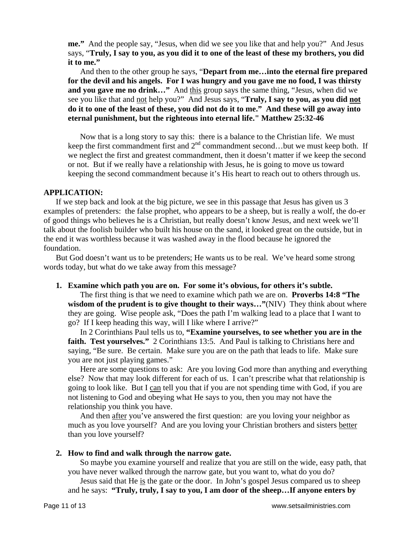**me."** And the people say, "Jesus, when did we see you like that and help you?" And Jesus says, "**Truly, I say to you, as you did it to one of the least of these my brothers, you did it to me."** 

And then to the other group he says, "**Depart from me…into the eternal fire prepared for the devil and his angels. For I was hungry and you gave me no food, I was thirsty and you gave me no drink…"** And this group says the same thing, "Jesus, when did we see you like that and not help you?" And Jesus says, "**Truly, I say to you, as you did not do it to one of the least of these, you did not do it to me." And these will go away into eternal punishment, but the righteous into eternal life." Matthew 25:32-46**

Now that is a long story to say this: there is a balance to the Christian life. We must keep the first commandment first and  $2<sup>nd</sup>$  commandment second…but we must keep both. If we neglect the first and greatest commandment, then it doesn't matter if we keep the second or not. But if we really have a relationship with Jesus, he is going to move us toward keeping the second commandment because it's His heart to reach out to others through us.

### **APPLICATION:**

If we step back and look at the big picture, we see in this passage that Jesus has given us 3 examples of pretenders: the false prophet, who appears to be a sheep, but is really a wolf, the do-er of good things who believes he is a Christian, but really doesn't know Jesus, and next week we'll talk about the foolish builder who built his house on the sand, it looked great on the outside, but in the end it was worthless because it was washed away in the flood because he ignored the foundation.

But God doesn't want us to be pretenders; He wants us to be real. We've heard some strong words today, but what do we take away from this message?

### **1. Examine which path you are on. For some it's obvious, for others it's subtle.**

The first thing is that we need to examine which path we are on. **Proverbs 14:8 "The wisdom of the prudent is to give thought to their ways…"**(NIV) They think about where they are going. Wise people ask, "Does the path I'm walking lead to a place that I want to go? If I keep heading this way, will I like where I arrive?"

In 2 Corinthians Paul tells us to, **"Examine yourselves, to see whether you are in the**  faith. Test yourselves." 2 Corinthians 13:5. And Paul is talking to Christians here and saying, "Be sure. Be certain. Make sure you are on the path that leads to life. Make sure you are not just playing games."

Here are some questions to ask: Are you loving God more than anything and everything else? Now that may look different for each of us. I can't prescribe what that relationship is going to look like. But I can tell you that if you are not spending time with God, if you are not listening to God and obeying what He says to you, then you may not have the relationship you think you have.

And then after you've answered the first question: are you loving your neighbor as much as you love yourself? And are you loving your Christian brothers and sisters better than you love yourself?

### **2. How to find and walk through the narrow gate.**

So maybe you examine yourself and realize that you are still on the wide, easy path, that you have never walked through the narrow gate, but you want to, what do you do?

Jesus said that He is the gate or the door. In John's gospel Jesus compared us to sheep and he says: **"Truly, truly, I say to you, I am door of the sheep…If anyone enters by**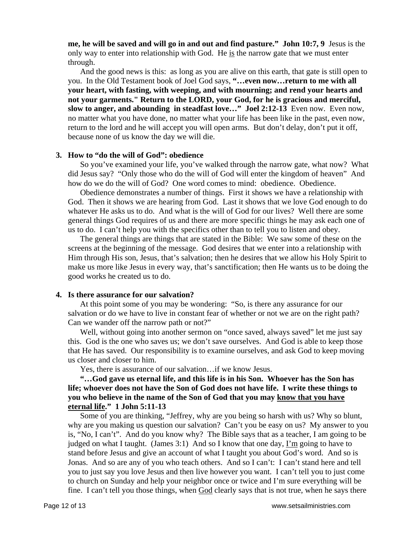**me, he will be saved and will go in and out and find pasture." John 10:7, 9** Jesus is the only way to enter into relationship with God. He is the narrow gate that we must enter through.

And the good news is this: as long as you are alive on this earth, that gate is still open to you. In the Old Testament book of Joel God says, **"…even now…return to me with all your heart, with fasting, with weeping, and with mourning; and rend your hearts and not your garments." Return to the LORD, your God, for he is gracious and merciful, slow to anger, and abounding in steadfast love…" Joel 2:12-13** Even now. Even now, no matter what you have done, no matter what your life has been like in the past, even now, return to the lord and he will accept you will open arms. But don't delay, don't put it off, because none of us know the day we will die.

#### **3. How to "do the will of God": obedience**

So you've examined your life, you've walked through the narrow gate, what now? What did Jesus say? "Only those who do the will of God will enter the kingdom of heaven" And how do we do the will of God? One word comes to mind: obedience. Obedience.

Obedience demonstrates a number of things. First it shows we have a relationship with God. Then it shows we are hearing from God. Last it shows that we love God enough to do whatever He asks us to do. And what is the will of God for our lives? Well there are some general things God requires of us and there are more specific things he may ask each one of us to do. I can't help you with the specifics other than to tell you to listen and obey.

The general things are things that are stated in the Bible: We saw some of these on the screens at the beginning of the message. God desires that we enter into a relationship with Him through His son, Jesus, that's salvation; then he desires that we allow his Holy Spirit to make us more like Jesus in every way, that's sanctification; then He wants us to be doing the good works he created us to do.

### **4. Is there assurance for our salvation?**

At this point some of you may be wondering: "So, is there any assurance for our salvation or do we have to live in constant fear of whether or not we are on the right path? Can we wander off the narrow path or not?"

Well, without going into another sermon on "once saved, always saved" let me just say this. God is the one who saves us; we don't save ourselves. And God is able to keep those that He has saved. Our responsibility is to examine ourselves, and ask God to keep moving us closer and closer to him.

Yes, there is assurance of our salvation…if we know Jesus.

**"…God gave us eternal life, and this life is in his Son. Whoever has the Son has life; whoever does not have the Son of God does not have life. I write these things to you who believe in the name of the Son of God that you may know that you have eternal life." 1 John 5:11-13**

Some of you are thinking, "Jeffrey, why are you being so harsh with us? Why so blunt, why are you making us question our salvation? Can't you be easy on us? My answer to you is, "No, I can't". And do you know why? The Bible says that as a teacher, I am going to be judged on what I taught. (James 3:1) And so I know that one day,  $\underline{\Gamma}$  m going to have to stand before Jesus and give an account of what I taught you about God's word. And so is Jonas. And so are any of you who teach others. And so I can't: I can't stand here and tell you to just say you love Jesus and then live however you want. I can't tell you to just come to church on Sunday and help your neighbor once or twice and I'm sure everything will be fine. I can't tell you those things, when God clearly says that is not true, when he says there